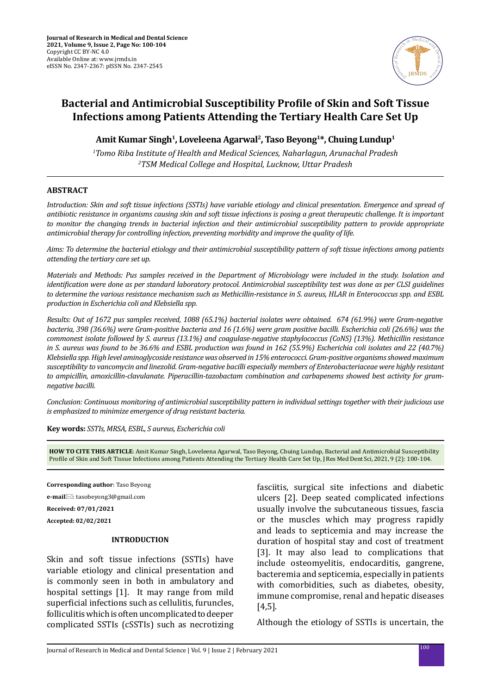

# **Bacterial and Antimicrobial Susceptibility Profile of Skin and Soft Tissue Infections among Patients Attending the Tertiary Health Care Set Up**

**Amit Kumar Singh<sup>1</sup> , Loveleena Agarwal<sup>2</sup> , Taso Beyong<sup>1</sup> \*, Chuing Lundup<sup>1</sup>**

*1 Tomo Riba Institute of Health and Medical Sciences, Naharlagun, Arunachal Pradesh 2TSM Medical College and Hospital, Lucknow, Uttar Pradesh*

### **ABSTRACT**

*Introduction: Skin and soft tissue infections (SSTIs) have variable etiology and clinical presentation. Emergence and spread of antibiotic resistance in organisms causing skin and soft tissue infections is posing a great therapeutic challenge. It is important to monitor the changing trends in bacterial infection and their antimicrobial susceptibility pattern to provide appropriate antimicrobial therapy for controlling infection, preventing morbidity and improve the quality of life.* 

*Aims: To determine the bacterial etiology and their antimicrobial susceptibility pattern of soft tissue infections among patients attending the tertiary care set up.* 

*Materials and Methods: Pus samples received in the Department of Microbiology were included in the study. Isolation and identification were done as per standard laboratory protocol. Antimicrobial susceptibility test was done as per CLSI guidelines to determine the various resistance mechanism such as Methicillin-resistance in S. aureus, HLAR in Enterococcus spp. and ESBL production in Escherichia coli and Klebsiella spp.* 

*Results: Out of 1672 pus samples received, 1088 (65.1%) bacterial isolates were obtained. 674 (61.9%) were Gram-negative bacteria, 398 (36.6%) were Gram-positive bacteria and 16 (1.6%) were gram positive bacilli. Escherichia coli (26.6%) was the commonest isolate followed by S. aureus (13.1%) and coagulase-negative staphylococcus (CoNS) (13%). Methicillin resistance in S. aureus was found to be 36.6% and ESBL production was found in 162 (55.9%) Escherichia coli isolates and 22 (40.7%) Klebsiella spp. High level aminoglycoside resistance was observed in 15% enterococci. Gram-positive organisms showed maximum susceptibility to vancomycin and linezolid. Gram-negative bacilli especially members of Enterobacteriaceae were highly resistant to ampicillin, amoxicillin-clavulanate. Piperacillin-tazobactam combination and carbapenems showed best activity for gramnegative bacilli.* 

*Conclusion: Continuous monitoring of antimicrobial susceptibility pattern in individual settings together with their judicious use is emphasized to minimize emergence of drug resistant bacteria.*

**Key words:** *SSTIs, MRSA, ESBL, S aureus, Escherichia coli*

**HOW TO CITE THIS ARTICLE**: Amit Kumar Singh, Loveleena Agarwal, Taso Beyong, Chuing Lundup, Bacterial and Antimicrobial Susceptibility Profile of Skin and Soft Tissue Infections among Patients Attending the Tertiary Health Care Set Up, J Res Med Dent Sci, 2021, 9 (2): 100-104.

**Corresponding author**: Taso Beyong

**e-mail**⊠: tasobeyong3@gmail.com

**Received: 07/01/2021**

**Accepted: 02/02/2021**

### **INTRODUCTION**

Skin and soft tissue infections (SSTIs) have variable etiology and clinical presentation and is commonly seen in both in ambulatory and hospital settings [1]. It may range from mild superficial infections such as cellulitis, furuncles, folliculitis which is often uncomplicated to deeper complicated SSTIs (cSSTIs) such as necrotizing fasciitis, surgical site infections and diabetic ulcers [2]. Deep seated complicated infections usually involve the subcutaneous tissues, fascia or the muscles which may progress rapidly and leads to septicemia and may increase the duration of hospital stay and cost of treatment [3]. It may also lead to complications that include osteomyelitis, endocarditis, gangrene, bacteremia and septicemia, especially in patients with comorbidities, such as diabetes, obesity, immune compromise, renal and hepatic diseases [4,5].

Although the etiology of SSTIs is uncertain, the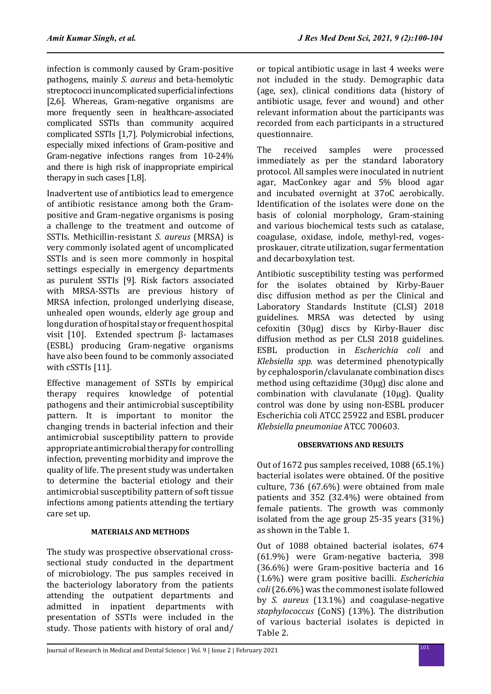infection is commonly caused by Gram-positive pathogens, mainly *S. aureus* and beta-hemolytic streptococci in uncomplicated superficial infections [2,6]. Whereas, Gram-negative organisms are more frequently seen in healthcare-associated complicated SSTIs than community acquired complicated SSTIs [1,7]. Polymicrobial infections, especially mixed infections of Gram-positive and Gram-negative infections ranges from 10-24% and there is high risk of inappropriate empirical therapy in such cases [1,8].

Inadvertent use of antibiotics lead to emergence of antibiotic resistance among both the Grampositive and Gram-negative organisms is posing a challenge to the treatment and outcome of SSTIs. Methicillin-resistant *S. aureus* (MRSA) is very commonly isolated agent of uncomplicated SSTIs and is seen more commonly in hospital settings especially in emergency departments as purulent SSTIs [9]. Risk factors associated with MRSA-SSTIs are previous history of MRSA infection, prolonged underlying disease, unhealed open wounds, elderly age group and long duration of hospital stay or frequent hospital visit [10]. Extended spectrum β- lactamases (ESBL) producing Gram-negative organisms have also been found to be commonly associated with cSSTIs [11].

Effective management of SSTIs by empirical therapy requires knowledge of potential pathogens and their antimicrobial susceptibility pattern. It is important to monitor the changing trends in bacterial infection and their antimicrobial susceptibility pattern to provide appropriate antimicrobial therapy for controlling infection, preventing morbidity and improve the quality of life. The present study was undertaken to determine the bacterial etiology and their antimicrobial susceptibility pattern of soft tissue infections among patients attending the tertiary care set up.

# **MATERIALS AND METHODS**

The study was prospective observational crosssectional study conducted in the department of microbiology. The pus samples received in the bacteriology laboratory from the patients attending the outpatient departments and admitted in inpatient departments with presentation of SSTIs were included in the study. Those patients with history of oral and/ or topical antibiotic usage in last 4 weeks were not included in the study. Demographic data (age, sex), clinical conditions data (history of antibiotic usage, fever and wound) and other relevant information about the participants was recorded from each participants in a structured questionnaire.

The received samples were processed immediately as per the standard laboratory protocol. All samples were inoculated in nutrient agar, MacConkey agar and 5% blood agar and incubated overnight at 37oC aerobically. Identification of the isolates were done on the basis of colonial morphology, Gram-staining and various biochemical tests such as catalase, coagulase, oxidase, indole, methyl-red, vogesproskauer, citrate utilization, sugar fermentation and decarboxylation test.

Antibiotic susceptibility testing was performed for the isolates obtained by Kirby-Bauer disc diffusion method as per the Clinical and Laboratory Standards Institute (CLSI) 2018 guidelines. MRSA was detected by using cefoxitin (30µg) discs by Kirby-Bauer disc diffusion method as per CLSI 2018 guidelines. ESBL production in *Escherichia coli* and *Klebsiella spp*. was determined phenotypically by cephalosporin/clavulanate combination discs method using ceftazidime (30µg) disc alone and combination with clavulanate (10µg). Quality control was done by using non-ESBL producer Escherichia coli ATCC 25922 and ESBL producer *Klebsiella pneumoniae* ATCC 700603.

# **OBSERVATIONS AND RESULTS**

Out of 1672 pus samples received, 1088 (65.1%) bacterial isolates were obtained. Of the positive culture, 736 (67.6%) were obtained from male patients and 352 (32.4%) were obtained from female patients. The growth was commonly isolated from the age group 25-35 years (31%) as shown in the Table 1.

Out of 1088 obtained bacterial isolates, 674 (61.9%) were Gram-negative bacteria, 398 (36.6%) were Gram-positive bacteria and 16 (1.6%) were gram positive bacilli. *Escherichia coli* (26.6%) was the commonest isolate followed by *S. aureus* (13.1%) and coagulase-negative *staphylococcus* (CoNS) (13%). The distribution of various bacterial isolates is depicted in Table 2.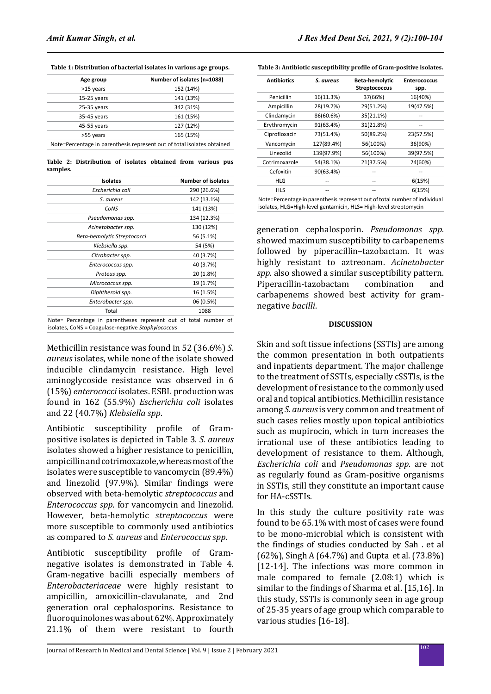**Table 1: Distribution of bacterial isolates in various age groups.**

| Age group                                                               | Number of isolates (n=1088) |  |  |
|-------------------------------------------------------------------------|-----------------------------|--|--|
| >15 years                                                               | 152 (14%)                   |  |  |
| $15-25$ years                                                           | 141 (13%)                   |  |  |
| $25-35$ years                                                           | 342 (31%)                   |  |  |
| 35-45 years                                                             | 161 (15%)                   |  |  |
| 45-55 years                                                             | 127 (12%)                   |  |  |
| >55 years                                                               | 165 (15%)                   |  |  |
| Note=Percentage in parenthesis represent out of total isolates obtained |                             |  |  |

**Table 2: Distribution of isolates obtained from various pus samples.**

| <b>Isolates</b>             | <b>Number of isolates</b> |
|-----------------------------|---------------------------|
| Escherichia coli            | 290 (26.6%)               |
| S. aureus                   | 142 (13.1%)               |
| CoNS                        | 141 (13%)                 |
| Pseudomonas spp.            | 134 (12.3%)               |
| Acinetobacter spp.          | 130 (12%)                 |
| Beta-hemolytic Streptococci | 56 (5.1%)                 |
| Klebsiella spp.             | 54 (5%)                   |
| Citrobacter spp.            | 40 (3.7%)                 |
| Enterococcus spp.           | 40 (3.7%)                 |
| Proteus spp.                | 20 (1.8%)                 |
| Micrococcus spp.            | 19 (1.7%)                 |
| Diphtheroid spp.            | 16 (1.5%)                 |
| Enterobacter spp.           | 06 (0.5%)                 |
| Total                       | 1088                      |

Note= Percentage in parentheses represent out of total number of isolates, CoNS = Coagulase-negative *Staphylococcus*

Methicillin resistance was found in 52 (36.6%) *S. aureus* isolates, while none of the isolate showed inducible clindamycin resistance. High level aminoglycoside resistance was observed in 6 (15%) *enterococci* isolates. ESBL production was found in 162 (55.9%) *Escherichia coli* isolates and 22 (40.7%) *Klebsiella spp*.

Antibiotic susceptibility profile of Grampositive isolates is depicted in Table 3. *S. aureus* isolates showed a higher resistance to penicillin, ampicillin and cotrimoxazole, whereas most of the isolates were susceptible to vancomycin (89.4%) and linezolid (97.9%). Similar findings were observed with beta-hemolytic *streptococcus* and *Enterococcus spp*. for vancomycin and linezolid. However, beta-hemolytic *streptococcus* were more susceptible to commonly used antibiotics as compared to *S*. *aureus* and *Enterococcus spp*.

Antibiotic susceptibility profile of Gramnegative isolates is demonstrated in Table 4. Gram-negative bacilli especially members of *Enterobacteriaceae* were highly resistant to ampicillin, amoxicillin-clavulanate, and 2nd generation oral cephalosporins. Resistance to fluoroquinolones was about 62%. Approximately 21.1% of them were resistant to fourth

|  |  |  |  |  | Table 3: Antibiotic susceptibility profile of Gram-positive isolates. |  |
|--|--|--|--|--|-----------------------------------------------------------------------|--|
|--|--|--|--|--|-----------------------------------------------------------------------|--|

| <b>Antibiotics</b> | S. aureus  | Beta-hemolytic<br><b>Streptococcus</b> | <b>Enterococcus</b><br>spp. |  |
|--------------------|------------|----------------------------------------|-----------------------------|--|
| Penicillin         | 16(11.3%)  | 37(66%)                                | 16(40%)                     |  |
| Ampicillin         | 28(19.7%)  | 29(51.2%)                              | 19(47.5%)                   |  |
| Clindamycin        | 86(60.6%)  | 35(21.1%)                              |                             |  |
| Erythromycin       | 91(63.4%)  | 31(21.8%)                              |                             |  |
| Ciprofloxacin      | 73(51.4%)  | 50(89.2%)                              | 23(57.5%)                   |  |
| Vancomycin         | 127(89.4%) | 56(100%)                               | 36(90%)                     |  |
| Linezolid          | 139(97.9%) | 56(100%)                               | 39(97.5%)                   |  |
| Cotrimoxazole      | 54(38.1%)  | 21(37.5%)                              | 24(60%)                     |  |
| Cefoxitin          | 90(63.4%)  |                                        |                             |  |
| <b>HLG</b>         |            | --                                     | 6(15%)<br>6(15%)            |  |
| HLS                |            |                                        |                             |  |

isolates, HLG=High-level gentamicin, HLS= High-level streptomycin

generation cephalosporin. *Pseudomonas spp*. showed maximum susceptibility to carbapenems followed by piperacillin–tazobactam. It was highly resistant to aztreonam. *Acinetobacter spp*. also showed a similar susceptibility pattern.<br>Piperacillin-tazobactam combination and Piperacillin-tazobactam carbapenems showed best activity for gramnegative *bacilli*.

#### **DISCUSSION**

Skin and soft tissue infections (SSTIs) are among the common presentation in both outpatients and inpatients department. The major challenge to the treatment of SSTIs, especially cSSTIs, is the development of resistance to the commonly used oral and topical antibiotics. Methicillin resistance among *S. aureus* is very common and treatment of such cases relies mostly upon topical antibiotics such as mupirocin, which in turn increases the irrational use of these antibiotics leading to development of resistance to them. Although, *Escherichia coli* and *Pseudomonas spp*. are not as regularly found as Gram-positive organisms in SSTIs, still they constitute an important cause for HA-cSSTIs.

In this study the culture positivity rate was found to be 65.1% with most of cases were found to be mono-microbial which is consistent with the findings of studies conducted by Sah . et al (62%), Singh A (64.7%) and Gupta et al. (73.8%) [12-14]. The infections was more common in male compared to female (2.08:1) which is similar to the findings of Sharma et al. [15,16]. In this study, SSTIs is commonly seen in age group of 25-35 years of age group which comparable to various studies [16-18].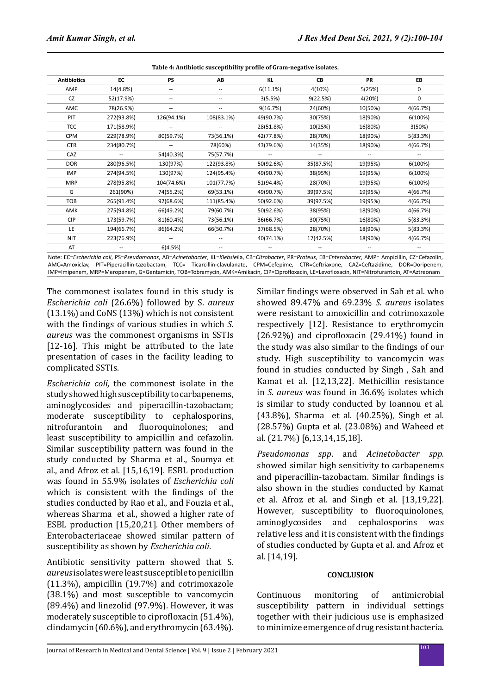**Table 4: Antibiotic susceptibility profile of Gram-negative isolates.**

| <b>Antibiotics</b> | EC         | <b>PS</b>  | AB         | KL        | CВ        | <b>PR</b> | EB       |
|--------------------|------------|------------|------------|-----------|-----------|-----------|----------|
| AMP                | 14(4.8%)   | ۰.         | $-$        | 6(11.1%)  | 4(10%)    | 5(25%)    | 0        |
| <b>CZ</b>          | 52(17.9%)  | --         | $-$        | 3(5.5%)   | 9(22.5%)  | 4(20%)    | 0        |
| AMC                | 78(26.9%)  | --         | $-$        | 9(16.7%)  | 24(60%)   | 10(50%)   | 4(66.7%) |
| PIT                | 272(93.8%) | 126(94.1%) | 108(83.1%) | 49(90.7%) | 30(75%)   | 18(90%)   | 6(100%)  |
| <b>TCC</b>         | 171(58.9%) | --         |            | 28(51.8%) | 10(25%)   | 16(80%)   | 3(50%)   |
| <b>CPM</b>         | 229(78.9%) | 80(59.7%)  | 73(56.1%)  | 42(77.8%) | 28(70%)   | 18(90%)   | 5(83.3%) |
| <b>CTR</b>         | 234(80.7%) | --         | 78(60%)    | 43(79.6%) | 14(35%)   | 18(90%)   | 4(66.7%) |
| CAZ                |            | 54(40.3%)  | 75(57.7%)  |           | --        |           |          |
| <b>DOR</b>         | 280(96.5%) | 130(97%)   | 122(93.8%) | 50(92.6%) | 35(87.5%) | 19(95%)   | 6(100%)  |
| <b>IMP</b>         | 274(94.5%) | 130(97%)   | 124(95.4%) | 49(90.7%) | 38(95%)   | 19(95%)   | 6(100%)  |
| <b>MRP</b>         | 278(95.8%) | 104(74.6%) | 101(77.7%) | 51(94.4%) | 28(70%)   | 19(95%)   | 6(100%)  |
| G                  | 261(90%)   | 74(55.2%)  | 69(53.1%)  | 49(90.7%) | 39(97.5%) | 19(95%)   | 4(66.7%) |
| TOB                | 265(91.4%) | 92(68.6%)  | 111(85.4%) | 50(92.6%) | 39(97.5%) | 19(95%)   | 4(66.7%) |
| AMK                | 275(94.8%) | 66(49.2%)  | 79(60.7%)  | 50(92.6%) | 38(95%)   | 18(90%)   | 4(66.7%) |
| <b>CIP</b>         | 173(59.7%) | 81(60.4%)  | 73(56.1%)  | 36(66.7%) | 30(75%)   | 16(80%)   | 5(83.3%) |
| LE                 | 194(66.7%) | 86(64.2%)  | 66(50.7%)  | 37(68.5%) | 28(70%)   | 18(90%)   | 5(83.3%) |
| NIT                | 223(76.9%) | --         |            | 40(74.1%) | 17(42.5%) | 18(90%)   | 4(66.7%) |
| AT                 |            | 6(4.5%)    |            |           |           |           |          |

Note: EC=*Escherichia coli*, PS=*Pseudomonas*, AB=*Acinetobacter*, KL=*Klebsiel*la, CB=*Citrobacter*, PR=*Proteus*, EB=*Enterobacter*, AMP= Ampicillin, CZ=Cefazolin, AMC=Amoxiclav, PIT=Piperacillin-tazobactam, TCC= Ticarcillin-clavulanate, CPM=Cefepime, CTR=Ceftriaxone, CAZ=Ceftazidime, DOR=Doripenem, IMP=Imipenem, MRP=Meropenem, G=Gentamicin, TOB=Tobramycin, AMK=Amikacin, CIP=Ciprofloxacin, LE=Levofloxacin, NIT=Nitrofurantoin, AT=Aztreonam

The commonest isolates found in this study is *Escherichia coli* (26.6%) followed by S. *aureus* (13.1%) and CoNS (13%) which is not consistent with the findings of various studies in which *S. aureus* was the commonest organisms in SSTIs [12-16]. This might be attributed to the late presentation of cases in the facility leading to complicated SSTIs.

*Escherichia coli,* the commonest isolate in the study showed high susceptibility to carbapenems, aminoglycosides and piperacillin-tazobactam; moderate susceptibility to cephalosporins,<br>nitrofurantoin and fluoroquinolones; and nitrofurantoin and fluoroquinolones; least susceptibility to ampicillin and cefazolin. Similar susceptibility pattern was found in the study conducted by Sharma et al., Soumya et al., and Afroz et al. [15,16,19]. ESBL production was found in 55.9% isolates of *Escherichia coli* which is consistent with the findings of the studies conducted by Rao et al., and Fouzia et al., whereas Sharma et al., showed a higher rate of ESBL production [15,20,21]. Other members of Enterobacteriaceae showed similar pattern of susceptibility as shown by *Escherichia coli*.

Antibiotic sensitivity pattern showed that S. *aureus* isolates were least susceptible to penicillin (11.3%), ampicillin (19.7%) and cotrimoxazole (38.1%) and most susceptible to vancomycin (89.4%) and linezolid (97.9%). However, it was moderately susceptible to ciprofloxacin (51.4%), clindamycin (60.6%), and erythromycin (63.4%). Similar findings were observed in Sah et al. who showed 89.47% and 69.23% *S. aureus* isolates were resistant to amoxicillin and cotrimoxazole respectively [12]. Resistance to erythromycin (26.92%) and ciprofloxacin (29.41%) found in the study was also similar to the findings of our study. High susceptibility to vancomycin was found in studies conducted by Singh , Sah and Kamat et al. [12,13,22]. Methicillin resistance in *S. aureus* was found in 36.6% isolates which is similar to study conducted by Ioannou et al. (43.8%), Sharma et al. (40.25%), Singh et al. (28.57%) Gupta et al. (23.08%) and Waheed et al. (21.7%) [6,13,14,15,18].

*Pseudomonas spp*. and *Acinetobacter spp*. showed similar high sensitivity to carbapenems and piperacillin-tazobactam. Similar findings is also shown in the studies conducted by Kamat et al. Afroz et al. and Singh et al. [13,19,22]. However, susceptibility to fluoroquinolones,<br>aminoglycosides and cephalosporins was and cephalosporins was relative less and it is consistent with the findings of studies conducted by Gupta et al. and Afroz et al. [14,19].

### **CONCLUSION**

Continuous monitoring of antimicrobial susceptibility pattern in individual settings together with their judicious use is emphasized to minimize emergence of drug resistant bacteria.